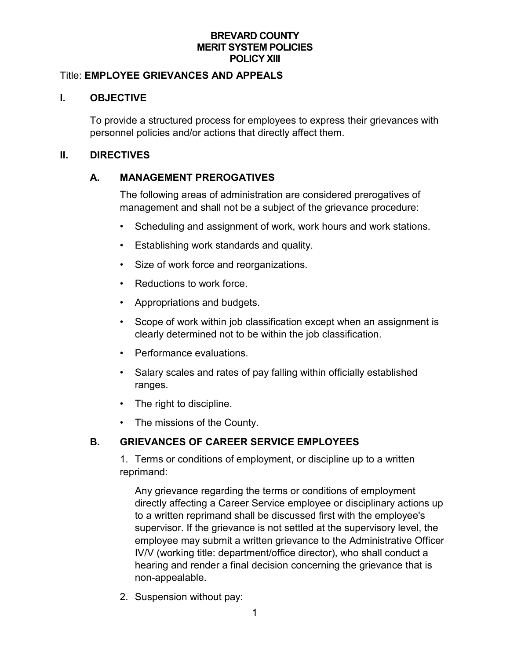### **BREVARD COUNTY MERIT SYSTEM POLICIES POLICY XIII**

### Title: **EMPLOYEE GRIEVANCES AND APPEALS**

### **I. OBJECTIVE**

To provide a structured process for employees to express their grievances with personnel policies and/or actions that directly affect them.

#### **II. DIRECTIVES**

#### **A. MANAGEMENT PREROGATIVES**

The following areas of administration are considered prerogatives of management and shall not be a subject of the grievance procedure:

- Scheduling and assignment of work, work hours and work stations.
- Establishing work standards and quality.
- Size of work force and reorganizations.
- Reductions to work force.
- Appropriations and budgets.
- Scope of work within job classification except when an assignment is clearly determined not to be within the job classification.
- Performance evaluations.
- Salary scales and rates of pay falling within officially established ranges.
- The right to discipline.
- The missions of the County.

# **B. GRIEVANCES OF CAREER SERVICE EMPLOYEES**

1. Terms or conditions of employment, or discipline up to a written reprimand:

Any grievance regarding the terms or conditions of employment directly affecting a Career Service employee or disciplinary actions up to a written reprimand shall be discussed first with the employee's supervisor. If the grievance is not settled at the supervisory level, the employee may submit a written grievance to the Administrative Officer IV/V (working title: department/office director), who shall conduct a hearing and render a final decision concerning the grievance that is non-appealable.

2. Suspension without pay: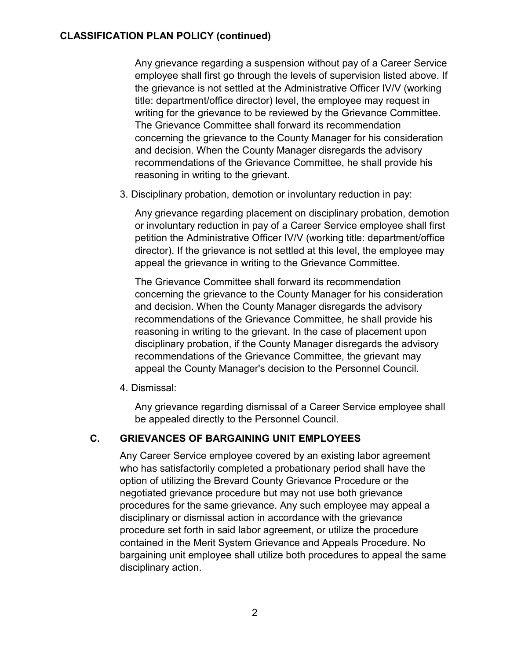### **CLASSIFICATION PLAN POLICY (continued)**

Any grievance regarding a suspension without pay of a Career Service employee shall first go through the levels of supervision listed above. If the grievance is not settled at the Administrative Officer IV/V (working title: department/office director) level, the employee may request in writing for the grievance to be reviewed by the Grievance Committee. The Grievance Committee shall forward its recommendation concerning the grievance to the County Manager for his consideration and decision. When the County Manager disregards the advisory recommendations of the Grievance Committee, he shall provide his reasoning in writing to the grievant.

3. Disciplinary probation, demotion or involuntary reduction in pay:

Any grievance regarding placement on disciplinary probation, demotion or involuntary reduction in pay of a Career Service employee shall first petition the Administrative Officer IV/V (working title: department/office director). If the grievance is not settled at this level, the employee may appeal the grievance in writing to the Grievance Committee.

The Grievance Committee shall forward its recommendation concerning the grievance to the County Manager for his consideration and decision. When the County Manager disregards the advisory recommendations of the Grievance Committee, he shall provide his reasoning in writing to the grievant. In the case of placement upon disciplinary probation, if the County Manager disregards the advisory recommendations of the Grievance Committee, the grievant may appeal the County Manager's decision to the Personnel Council.

4. Dismissal:

Any grievance regarding dismissal of a Career Service employee shall be appealed directly to the Personnel Council.

# **C. GRIEVANCES OF BARGAINING UNIT EMPLOYEES**

Any Career Service employee covered by an existing labor agreement who has satisfactorily completed a probationary period shall have the option of utilizing the Brevard County Grievance Procedure or the negotiated grievance procedure but may not use both grievance procedures for the same grievance. Any such employee may appeal a disciplinary or dismissal action in accordance with the grievance procedure set forth in said labor agreement, or utilize the procedure contained in the Merit System Grievance and Appeals Procedure. No bargaining unit employee shall utilize both procedures to appeal the same disciplinary action.